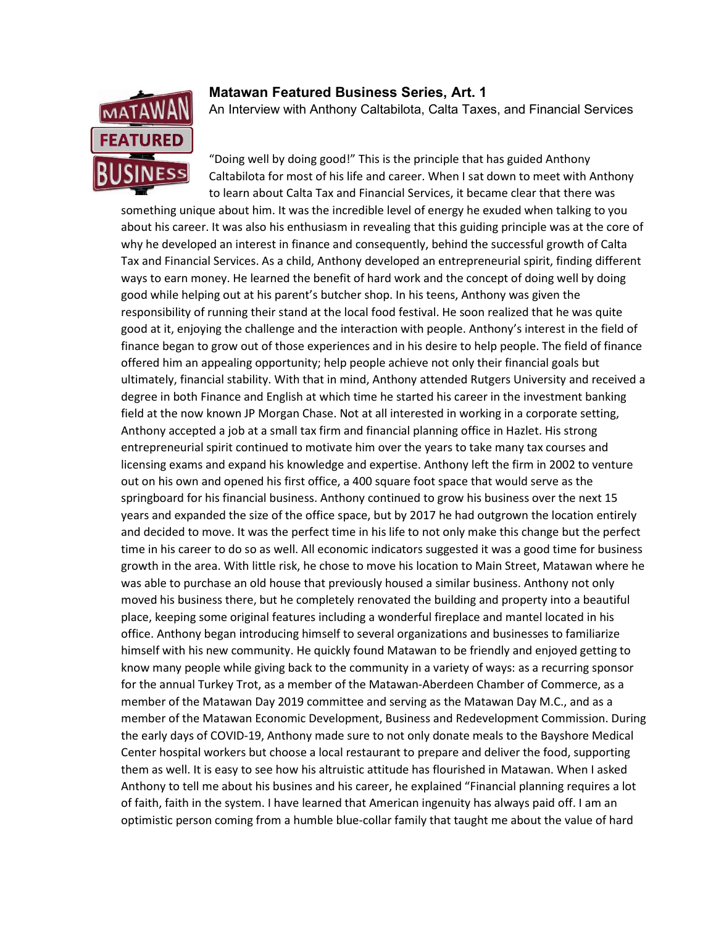

## Matawan Featured Business Series, Art. 1

An Interview with Anthony Caltabilota, Calta Taxes, and Financial Services

"Doing well by doing good!" This is the principle that has guided Anthony Caltabilota for most of his life and career. When I sat down to meet with Anthony to learn about Calta Tax and Financial Services, it became clear that there was

something unique about him. It was the incredible level of energy he exuded when talking to you about his career. It was also his enthusiasm in revealing that this guiding principle was at the core of why he developed an interest in finance and consequently, behind the successful growth of Calta Tax and Financial Services. As a child, Anthony developed an entrepreneurial spirit, finding different ways to earn money. He learned the benefit of hard work and the concept of doing well by doing good while helping out at his parent's butcher shop. In his teens, Anthony was given the responsibility of running their stand at the local food festival. He soon realized that he was quite good at it, enjoying the challenge and the interaction with people. Anthony's interest in the field of finance began to grow out of those experiences and in his desire to help people. The field of finance offered him an appealing opportunity; help people achieve not only their financial goals but ultimately, financial stability. With that in mind, Anthony attended Rutgers University and received a degree in both Finance and English at which time he started his career in the investment banking field at the now known JP Morgan Chase. Not at all interested in working in a corporate setting, Anthony accepted a job at a small tax firm and financial planning office in Hazlet. His strong entrepreneurial spirit continued to motivate him over the years to take many tax courses and licensing exams and expand his knowledge and expertise. Anthony left the firm in 2002 to venture out on his own and opened his first office, a 400 square foot space that would serve as the springboard for his financial business. Anthony continued to grow his business over the next 15 years and expanded the size of the office space, but by 2017 he had outgrown the location entirely and decided to move. It was the perfect time in his life to not only make this change but the perfect time in his career to do so as well. All economic indicators suggested it was a good time for business growth in the area. With little risk, he chose to move his location to Main Street, Matawan where he was able to purchase an old house that previously housed a similar business. Anthony not only moved his business there, but he completely renovated the building and property into a beautiful place, keeping some original features including a wonderful fireplace and mantel located in his office. Anthony began introducing himself to several organizations and businesses to familiarize himself with his new community. He quickly found Matawan to be friendly and enjoyed getting to know many people while giving back to the community in a variety of ways: as a recurring sponsor for the annual Turkey Trot, as a member of the Matawan-Aberdeen Chamber of Commerce, as a member of the Matawan Day 2019 committee and serving as the Matawan Day M.C., and as a member of the Matawan Economic Development, Business and Redevelopment Commission. During the early days of COVID-19, Anthony made sure to not only donate meals to the Bayshore Medical Center hospital workers but choose a local restaurant to prepare and deliver the food, supporting them as well. It is easy to see how his altruistic attitude has flourished in Matawan. When I asked Anthony to tell me about his busines and his career, he explained "Financial planning requires a lot of faith, faith in the system. I have learned that American ingenuity has always paid off. I am an optimistic person coming from a humble blue-collar family that taught me about the value of hard